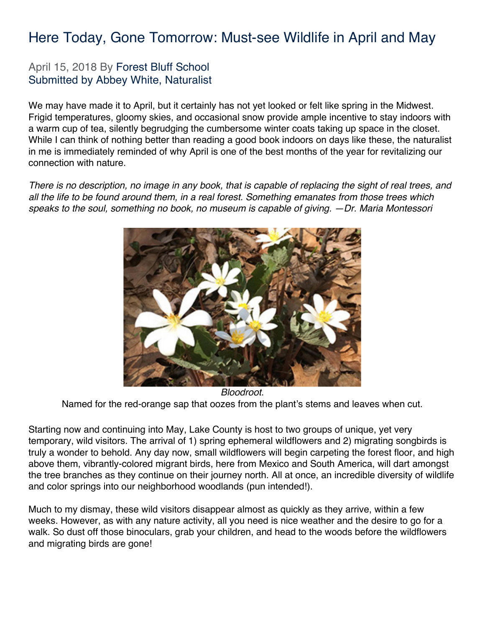#### Here Today, Gone Tomorrow: Must-see Wildlife in April and May

#### April 15, 2018 By Forest Bluff School Submitted by Abbey White, Naturalist

We may have made it to April, but it certainly has not yet looked or felt like spring in the Midwest. Frigid temperatures, gloomy skies, and occasional snow provide ample incentive to stay indoors with a warm cup of tea, silently begrudging the cumbersome winter coats taking up space in the closet. While I can think of nothing better than reading a good book indoors on days like these, the naturalist in me is immediately reminded of why April is one of the best months of the year for revitalizing our connection with nature.

*There is no description, no image in any book, that is capable of replacing the sight of real trees, and all the life to be found around them, in a real forest. Something emanates from those trees which speaks to the soul, something no book, no museum is capable of giving. —Dr. Maria Montessori*



*Bloodroot*. Named for the red-orange sap that oozes from the plant's stems and leaves when cut.

Starting now and continuing into May, Lake County is host to two groups of unique, yet very temporary, wild visitors. The arrival of 1) spring ephemeral wildflowers and 2) migrating songbirds is truly a wonder to behold. Any day now, small wildflowers will begin carpeting the forest floor, and high above them, vibrantly-colored migrant birds, here from Mexico and South America, will dart amongst the tree branches as they continue on their journey north. All at once, an incredible diversity of wildlife and color springs into our neighborhood woodlands (pun intended!).

Much to my dismay, these wild visitors disappear almost as quickly as they arrive, within a few weeks. However, as with any nature activity, all you need is nice weather and the desire to go for a walk. So dust off those binoculars, grab your children, and head to the woods before the wildflowers and migrating birds are gone!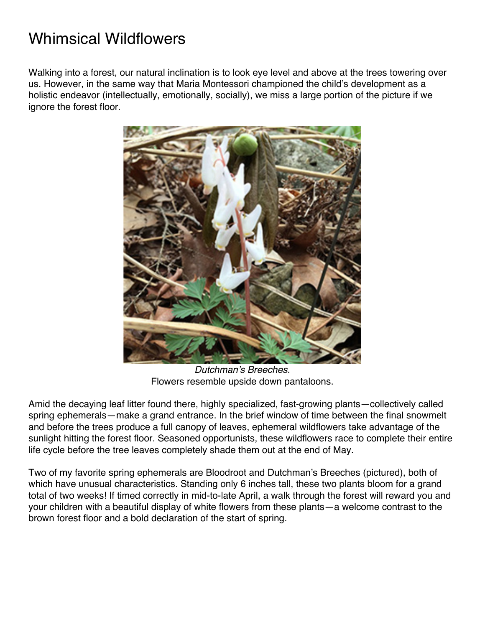### Whimsical Wildflowers

Walking into a forest, our natural inclination is to look eye level and above at the trees towering over us. However, in the same way that Maria Montessori championed the child's development as a holistic endeavor (intellectually, emotionally, socially), we miss a large portion of the picture if we ianore the forest floor.



*Dutchman's Breeches*. Flowers resemble upside down pantaloons.

Amid the decaying leaf litter found there, highly specialized, fast-growing plants—collectively called spring ephemerals—make a grand entrance. In the brief window of time between the final snowmelt and before the trees produce a full canopy of leaves, ephemeral wildflowers take advantage of the sunlight hitting the forest floor. Seasoned opportunists, these wildflowers race to complete their entire life cycle before the tree leaves completely shade them out at the end of May.

Two of my favorite spring ephemerals are Bloodroot and Dutchman's Breeches (pictured), both of which have unusual characteristics. Standing only 6 inches tall, these two plants bloom for a grand total of two weeks! If timed correctly in mid-to-late April, a walk through the forest will reward you and your children with a beautiful display of white flowers from these plants—a welcome contrast to the brown forest floor and a bold declaration of the start of spring.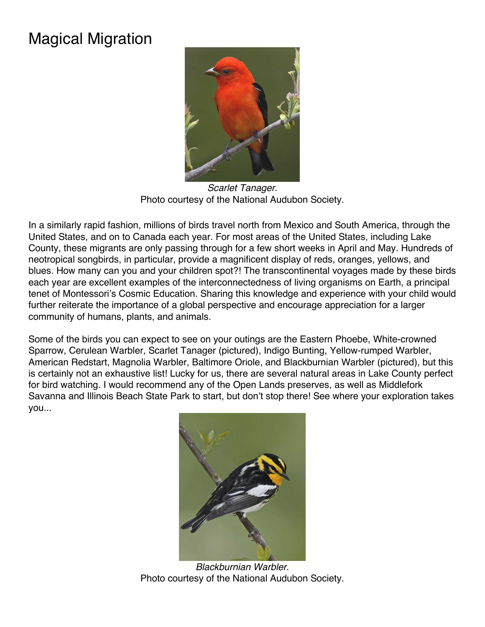# Magical Migration



*Scarlet Tanager*. Photo courtesy of the National Audubon Society.

In a similarly rapid fashion, millions of birds travel north from Mexico and South America, through the United States, and on to Canada each year. For most areas of the United States, including Lake County, these migrants are only passing through for a few short weeks in April and May. Hundreds of neotropical songbirds, in particular, provide a magnificent display of reds, oranges, yellows, and blues. How many can you and your children spot?! The transcontinental voyages made by these birds each year are excellent examples of the interconnectedness of living organisms on Earth, a principal tenet of Montessori's Cosmic Education. Sharing this knowledge and experience with your child would further reiterate the importance of a global perspective and encourage appreciation for a larger community of humans, plants, and animals.

Some of the birds you can expect to see on your outings are the Eastern Phoebe, White-crowned Sparrow, Cerulean Warbler, Scarlet Tanager (pictured), Indigo Bunting, Yellow-rumped Warbler, American Redstart, Magnolia Warbler, Baltimore Oriole, and Blackburnian Warbler (pictured), but this is certainly not an exhaustive list! Lucky for us, there are several natural areas in Lake County perfect for bird watching. I would recommend any of the Open Lands preserves, as well as Middlefork Savanna and Illinois Beach State Park to start, but don't stop there! See where your exploration takes you...



*Blackburnian Warbler*. Photo courtesy of the National Audubon Society.